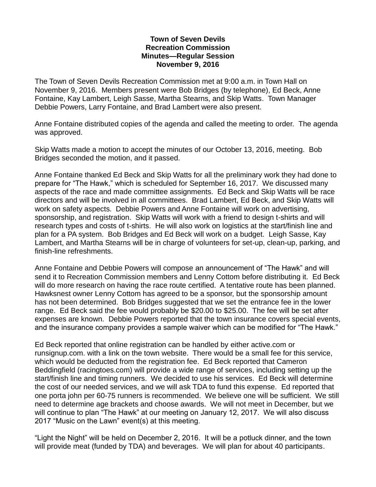## **Town of Seven Devils Recreation Commission Minutes—Regular Session November 9, 2016**

The Town of Seven Devils Recreation Commission met at 9:00 a.m. in Town Hall on November 9, 2016. Members present were Bob Bridges (by telephone), Ed Beck, Anne Fontaine, Kay Lambert, Leigh Sasse, Martha Stearns, and Skip Watts. Town Manager Debbie Powers, Larry Fontaine, and Brad Lambert were also present.

Anne Fontaine distributed copies of the agenda and called the meeting to order. The agenda was approved.

Skip Watts made a motion to accept the minutes of our October 13, 2016, meeting. Bob Bridges seconded the motion, and it passed.

Anne Fontaine thanked Ed Beck and Skip Watts for all the preliminary work they had done to prepare for "The Hawk," which is scheduled for September 16, 2017. We discussed many aspects of the race and made committee assignments. Ed Beck and Skip Watts will be race directors and will be involved in all committees. Brad Lambert, Ed Beck, and Skip Watts will work on safety aspects. Debbie Powers and Anne Fontaine will work on advertising, sponsorship, and registration. Skip Watts will work with a friend to design t-shirts and will research types and costs of t-shirts. He will also work on logistics at the start/finish line and plan for a PA system. Bob Bridges and Ed Beck will work on a budget. Leigh Sasse, Kay Lambert, and Martha Stearns will be in charge of volunteers for set-up, clean-up, parking, and finish-line refreshments.

Anne Fontaine and Debbie Powers will compose an announcement of "The Hawk" and will send it to Recreation Commission members and Lenny Cottom before distributing it. Ed Beck will do more research on having the race route certified. A tentative route has been planned. Hawksnest owner Lenny Cottom has agreed to be a sponsor, but the sponsorship amount has not been determined. Bob Bridges suggested that we set the entrance fee in the lower range. Ed Beck said the fee would probably be \$20.00 to \$25.00. The fee will be set after expenses are known. Debbie Powers reported that the town insurance covers special events, and the insurance company provides a sample waiver which can be modified for "The Hawk."

Ed Beck reported that online registration can be handled by either active.com or runsignup.com. with a link on the town website. There would be a small fee for this service, which would be deducted from the registration fee. Ed Beck reported that Cameron Beddingfield (racingtoes.com) will provide a wide range of services, including setting up the start/finish line and timing runners. We decided to use his services. Ed Beck will determine the cost of our needed services, and we will ask TDA to fund this expense. Ed reported that one porta john per 60-75 runners is recommended. We believe one will be sufficient. We still need to determine age brackets and choose awards. We will not meet in December, but we will continue to plan "The Hawk" at our meeting on January 12, 2017. We will also discuss 2017 "Music on the Lawn" event(s) at this meeting.

"Light the Night" will be held on December 2, 2016. It will be a potluck dinner, and the town will provide meat (funded by TDA) and beverages. We will plan for about 40 participants.